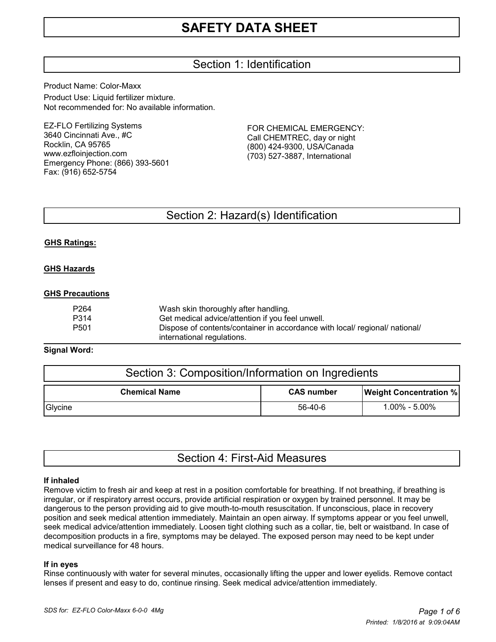# Section 1: Identification

Product Name: Color-Maxx Product Use: Liquid fertilizer mixture. Not recommended for: No available information.

EZ-FLO Fertilizing Systems 3640 Cincinnati Ave., #C Rocklin, CA 95765 www.ezfloinjection.com Emergency Phone: (866) 393-5601 Fax: (916) 652-5754

FOR CHEMICAL EMERGENCY: Call CHEMTREC, day or night (800) 424-9300, USA/Canada (703) 527-3887, International

## Section 2: Hazard(s) Identification

#### **GHS Ratings:**

#### **GHS Hazards**

#### **GHS Precautions**

| P264 | Wash skin thoroughly after handling.                                        |
|------|-----------------------------------------------------------------------------|
| P314 | Get medical advice/attention if you feel unwell.                            |
| P501 | Dispose of contents/container in accordance with local/ regional/ national/ |
|      | international regulations.                                                  |

#### **Signal Word:**

| Section 3: Composition/Information on Ingredients |                   |                               |  |  |
|---------------------------------------------------|-------------------|-------------------------------|--|--|
| <b>Chemical Name</b>                              | <b>CAS number</b> | <b>Weight Concentration %</b> |  |  |
| Glycine                                           | 56-40-6           | $1.00\% - 5.00\%$             |  |  |

|  |  | Section 4: First-Aid Measures |
|--|--|-------------------------------|
|--|--|-------------------------------|

#### **If inhaled**

Remove victim to fresh air and keep at rest in a position comfortable for breathing. If not breathing, if breathing is irregular, or if respiratory arrest occurs, provide artificial respiration or oxygen by trained personnel. It may be dangerous to the person providing aid to give mouth-to-mouth resuscitation. If unconscious, place in recovery position and seek medical attention immediately. Maintain an open airway. If symptoms appear or you feel unwell, seek medical advice/attention immediately. Loosen tight clothing such as a collar, tie, belt or waistband. In case of decomposition products in a fire, symptoms may be delayed. The exposed person may need to be kept under medical surveillance for 48 hours.

#### **If in eyes**

Rinse continuously with water for several minutes, occasionally lifting the upper and lower eyelids. Remove contact lenses if present and easy to do, continue rinsing. Seek medical advice/attention immediately.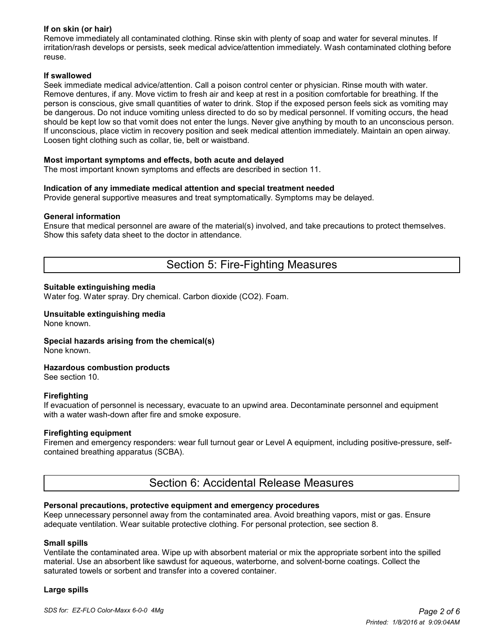### **If on skin (or hair)**

Remove immediately all contaminated clothing. Rinse skin with plenty of soap and water for several minutes. If irritation/rash develops or persists, seek medical advice/attention immediately. Wash contaminated clothing before reuse.

#### **If swallowed**

Seek immediate medical advice/attention. Call a poison control center or physician. Rinse mouth with water. Remove dentures, if any. Move victim to fresh air and keep at rest in a position comfortable for breathing. If the person is conscious, give small quantities of water to drink. Stop if the exposed person feels sick as vomiting may be dangerous. Do not induce vomiting unless directed to do so by medical personnel. If vomiting occurs, the head should be kept low so that vomit does not enter the lungs. Never give anything by mouth to an unconscious person. If unconscious, place victim in recovery position and seek medical attention immediately. Maintain an open airway. Loosen tight clothing such as collar, tie, belt or waistband.

#### **Most important symptoms and effects, both acute and delayed**

The most important known symptoms and effects are described in section 11.

#### **Indication of any immediate medical attention and special treatment needed**

Provide general supportive measures and treat symptomatically. Symptoms may be delayed.

#### **General information**

Ensure that medical personnel are aware of the material(s) involved, and take precautions to protect themselves. Show this safety data sheet to the doctor in attendance.

## Section 5: Fire-Fighting Measures

#### **Suitable extinguishing media**

Water fog. Water spray. Dry chemical. Carbon dioxide (CO2). Foam.

#### **Unsuitable extinguishing media** None known.

**Special hazards arising from the chemical(s)**

None known.

#### **Hazardous combustion products**

See section 10.

#### **Firefighting**

If evacuation of personnel is necessary, evacuate to an upwind area. Decontaminate personnel and equipment with a water wash-down after fire and smoke exposure.

#### **Firefighting equipment**

Firemen and emergency responders: wear full turnout gear or Level A equipment, including positive-pressure, selfcontained breathing apparatus (SCBA).

## Section 6: Accidental Release Measures

#### **Personal precautions, protective equipment and emergency procedures**

Keep unnecessary personnel away from the contaminated area. Avoid breathing vapors, mist or gas. Ensure adequate ventilation. Wear suitable protective clothing. For personal protection, see section 8.

#### **Small spills**

Ventilate the contaminated area. Wipe up with absorbent material or mix the appropriate sorbent into the spilled material. Use an absorbent like sawdust for aqueous, waterborne, and solvent-borne coatings. Collect the saturated towels or sorbent and transfer into a covered container.

#### **Large spills**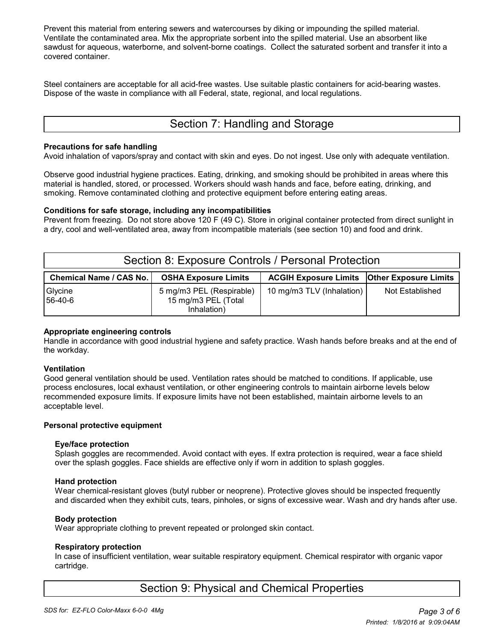Prevent this material from entering sewers and watercourses by diking or impounding the spilled material. Ventilate the contaminated area. Mix the appropriate sorbent into the spilled material. Use an absorbent like sawdust for aqueous, waterborne, and solvent-borne coatings. Collect the saturated sorbent and transfer it into a covered container.

Steel containers are acceptable for all acid-free wastes. Use suitable plastic containers for acid-bearing wastes. Dispose of the waste in compliance with all Federal, state, regional, and local regulations.

# Section 7: Handling and Storage

#### **Precautions for safe handling**

Avoid inhalation of vapors/spray and contact with skin and eyes. Do not ingest. Use only with adequate ventilation.

Observe good industrial hygiene practices. Eating, drinking, and smoking should be prohibited in areas where this material is handled, stored, or processed. Workers should wash hands and face, before eating, drinking, and smoking. Remove contaminated clothing and protective equipment before entering eating areas.

#### **Conditions for safe storage, including any incompatibilities**

Prevent from freezing. Do not store above 120 F (49 C). Store in original container protected from direct sunlight in a dry, cool and well-ventilated area, away from incompatible materials (see section 10) and food and drink.

| Section 8: Exposure Controls / Personal Protection |                                                                |                                                      |                        |  |  |  |
|----------------------------------------------------|----------------------------------------------------------------|------------------------------------------------------|------------------------|--|--|--|
| Chemical Name / CAS No.                            | <b>OSHA Exposure Limits</b>                                    | <b>ACGIH Exposure Limits   Other Exposure Limits</b> |                        |  |  |  |
| Glycine<br>56-40-6                                 | 5 mg/m3 PEL (Respirable)<br>15 mg/m3 PEL (Total<br>Inhalation) | 10 mg/m3 TLV (Inhalation)                            | <b>Not Established</b> |  |  |  |

### **Appropriate engineering controls**

Handle in accordance with good industrial hygiene and safety practice. Wash hands before breaks and at the end of the workday.

#### **Ventilation**

Good general ventilation should be used. Ventilation rates should be matched to conditions. If applicable, use process enclosures, local exhaust ventilation, or other engineering controls to maintain airborne levels below recommended exposure limits. If exposure limits have not been established, maintain airborne levels to an acceptable level.

#### **Personal protective equipment**

#### **Eye/face protection**

 Splash goggles are recommended. Avoid contact with eyes. If extra protection is required, wear a face shield over the splash goggles. Face shields are effective only if worn in addition to splash goggles.

#### **Hand protection**

 Wear chemical-resistant gloves (butyl rubber or neoprene). Protective gloves should be inspected frequently and discarded when they exhibit cuts, tears, pinholes, or signs of excessive wear. Wash and dry hands after use.

#### **Body protection**

Wear appropriate clothing to prevent repeated or prolonged skin contact.

#### **Respiratory protection**

 In case of insufficient ventilation, wear suitable respiratory equipment. Chemical respirator with organic vapor cartridge.

# Section 9: Physical and Chemical Properties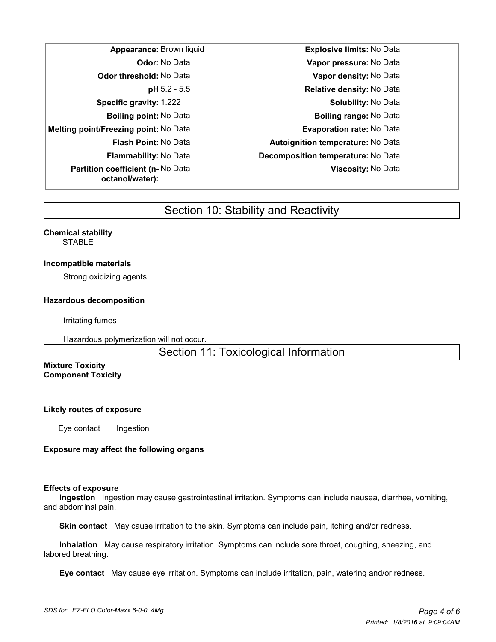| Appearance: Brown liqu                                     |
|------------------------------------------------------------|
| <b>Odor:</b> No Data                                       |
| <b>Odor threshold: No Data</b>                             |
| $pH$ 5.2 - 5.5                                             |
| <b>Specific gravity: 1.222</b>                             |
| <b>Boiling point:</b> No Data                              |
| Melting point/Freezing point: No Data                      |
| <b>Flash Point: No Data</b>                                |
| <b>Flammability:</b> No Data                               |
| <b>Partition coefficient (n-No Data</b><br>octanol/water): |

**Appearance: Approximate:** Brown limits: No Data **Odor:** No Data **Vapor pressure:** No Data **Odor threshold:** No Data **Vapor density:** No Data **Relative density: No Data Solubility: No Data Boiling point:** No Data **Boiling range:** No Data **Melting point/Freezing point:** No Data **Evaporation rate:** No Data **Flash Point:** No Data **Autoignition temperature:** No Data **Flammability:** No Data **Decomposition temperature:** No Data **Viscosity:** No Data

# Section 10: Stability and Reactivity

#### **Chemical stability STABLE**

#### **Incompatible materials**

Strong oxidizing agents

#### **Hazardous decomposition**

Irritating fumes

Hazardous polymerization will not occur.

Section 11: Toxicological Information

#### **Mixture Toxicity Component Toxicity**

#### **Likely routes of exposure**

Eye contact Ingestion

### **Exposure may affect the following organs**

#### **Effects of exposure**

 **Ingestion** Ingestion may cause gastrointestinal irritation. Symptoms can include nausea, diarrhea, vomiting, and abdominal pain.

 **Skin contact** May cause irritation to the skin. Symptoms can include pain, itching and/or redness.

 **Inhalation** May cause respiratory irritation. Symptoms can include sore throat, coughing, sneezing, and labored breathing.

 **Eye contact** May cause eye irritation. Symptoms can include irritation, pain, watering and/or redness.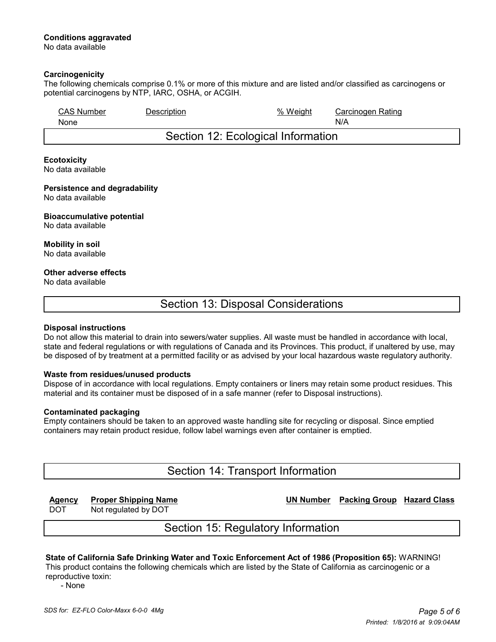## **Conditions aggravated**

No data available

#### **Carcinogenicity**

The following chemicals comprise 0.1% or more of this mixture and are listed and/or classified as carcinogens or potential carcinogens by NTP, IARC, OSHA, or ACGIH.

| <b>CAS Number</b><br>None          | Description | % Weight | Carcinogen Rating<br>N/A |
|------------------------------------|-------------|----------|--------------------------|
| Section 12: Ecological Information |             |          |                          |

#### **Ecotoxicity** No data available

#### **Persistence and degradability** No data available

#### **Bioaccumulative potential** No data available

#### **Mobility in soil** No data available

#### **Other adverse effects**

No data available

## Section 13: Disposal Considerations

#### **Disposal instructions**

Do not allow this material to drain into sewers/water supplies. All waste must be handled in accordance with local, state and federal regulations or with regulations of Canada and its Provinces. This product, if unaltered by use, may be disposed of by treatment at a permitted facility or as advised by your local hazardous waste regulatory authority.

### **Waste from residues/unused products**

Dispose of in accordance with local regulations. Empty containers or liners may retain some product residues. This material and its container must be disposed of in a safe manner (refer to Disposal instructions).

### **Contaminated packaging**

Empty containers should be taken to an approved waste handling site for recycling or disposal. Since emptied containers may retain product residue, follow label warnings even after container is emptied.

## Section 14: Transport Information

DOT Not regulated by DOT

**Agency Proper Shipping Name UN Number Packing Group Hazard Class**

Section 15: Regulatory Information

# **State of California Safe Drinking Water and Toxic Enforcement Act of 1986 (Proposition 65):** WARNING!

This product contains the following chemicals which are listed by the State of California as carcinogenic or a reproductive toxin:

- None